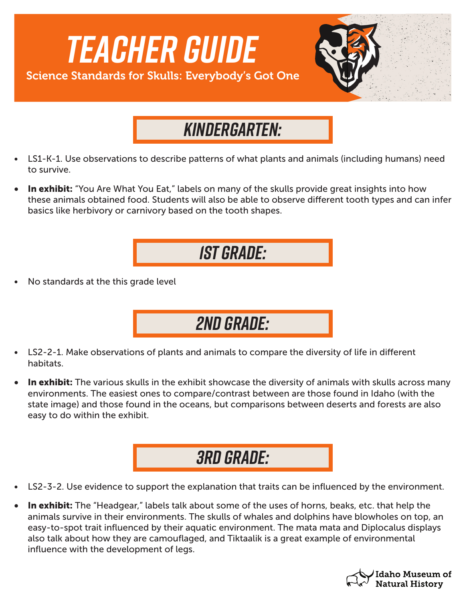

## *Kindergarten:*

- LS1-K-1. Use observations to describe patterns of what plants and animals (including humans) need to survive.
- In exhibit: "You Are What You Eat," labels on many of the skulls provide great insights into how these animals obtained food. Students will also be able to observe different tooth types and can infer basics like herbivory or carnivory based on the tooth shapes.

*1st Grade:*

• No standards at the this grade level



- LS2-2-1. Make observations of plants and animals to compare the diversity of life in different habitats.
- In exhibit: The various skulls in the exhibit showcase the diversity of animals with skulls across many environments. The easiest ones to compare/contrast between are those found in Idaho (with the state image) and those found in the oceans, but comparisons between deserts and forests are also easy to do within the exhibit.

*3rd Grade:*

- LS2-3-2. Use evidence to support the explanation that traits can be influenced by the environment.
- In exhibit: The "Headgear," labels talk about some of the uses of horns, beaks, etc. that help the animals survive in their environments. The skulls of whales and dolphins have blowholes on top, an easy-to-spot trait influenced by their aquatic environment. The mata mata and Diplocalus displays also talk about how they are camouflaged, and Tiktaalik is a great example of environmental influence with the development of legs.

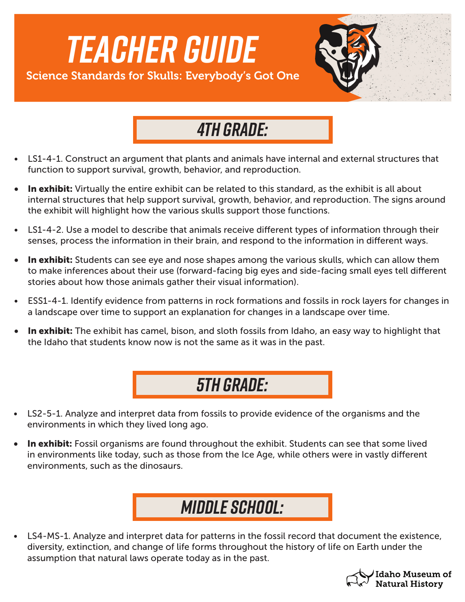

## *4th Grade:*

- LS1-4-1. Construct an argument that plants and animals have internal and external structures that function to support survival, growth, behavior, and reproduction.
- In exhibit: Virtually the entire exhibit can be related to this standard, as the exhibit is all about internal structures that help support survival, growth, behavior, and reproduction. The signs around the exhibit will highlight how the various skulls support those functions.
- LS1-4-2. Use a model to describe that animals receive different types of information through their senses, process the information in their brain, and respond to the information in different ways.
- **In exhibit:** Students can see eye and nose shapes among the various skulls, which can allow them to make inferences about their use (forward-facing big eyes and side-facing small eyes tell different stories about how those animals gather their visual information).
- ESS1-4-1. Identify evidence from patterns in rock formations and fossils in rock layers for changes in a landscape over time to support an explanation for changes in a landscape over time.
- In exhibit: The exhibit has camel, bison, and sloth fossils from Idaho, an easy way to highlight that the Idaho that students know now is not the same as it was in the past.



- LS2-5-1. Analyze and interpret data from fossils to provide evidence of the organisms and the environments in which they lived long ago.
- In exhibit: Fossil organisms are found throughout the exhibit. Students can see that some lived in environments like today, such as those from the Ice Age, while others were in vastly different environments, such as the dinosaurs.

## *Middle School:*

• LS4-MS-1. Analyze and interpret data for patterns in the fossil record that document the existence, diversity, extinction, and change of life forms throughout the history of life on Earth under the assumption that natural laws operate today as in the past.